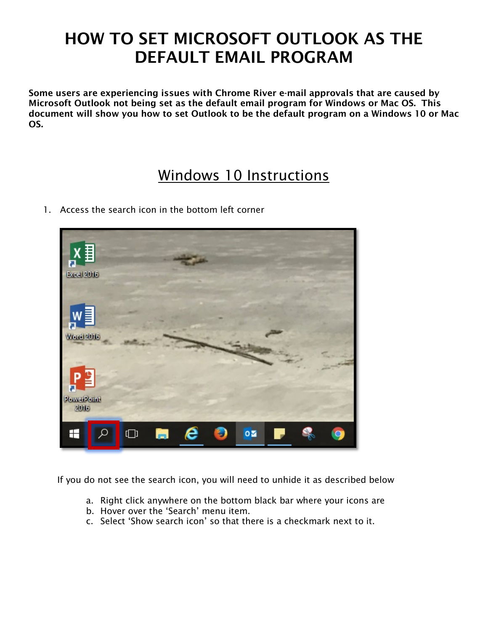## HOW TO SET MICROSOFT OUTLOOK AS THE DEFAULT EMAIL PROGRAM

Some users are experiencing issues with Chrome River e-mail approvals that are caused by Microsoft Outlook not being set as the default email program for Windows or Mac OS. This document will show you how to set Outlook to be the default program on a Windows 10 or Mac OS.

## Windows 10 Instructions

1. Access the search icon in the bottom left corner



If you do not see the search icon, you will need to unhide it as described below

- a. Right click anywhere on the bottom black bar where your icons are
- b. Hover over the 'Search' menu item.
- c. Select 'Show search icon' so that there is a checkmark next to it.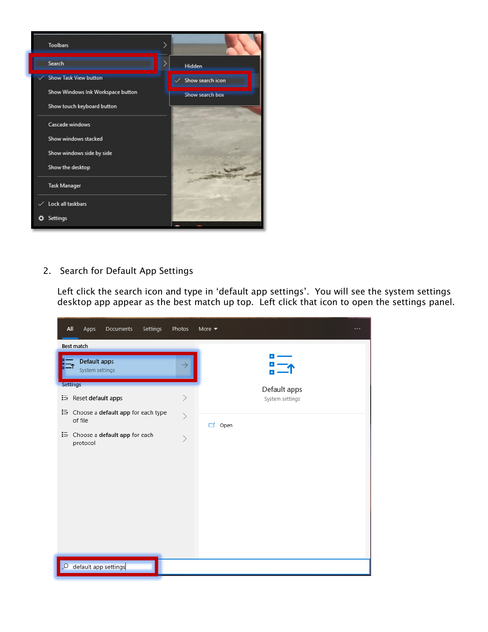

2. Search for Default App Settings

Left click the search icon and type in 'default app settings'. You will see the system settings desktop app appear as the best match up top. Left click that icon to open the settings panel.

| All<br>Apps<br><b>Documents</b><br>Settings         | Photos                 | More $\blacktriangledown$<br>$\cdots$ |
|-----------------------------------------------------|------------------------|---------------------------------------|
| Best match                                          |                        |                                       |
| Default apps<br>System settings                     | $\rightarrow$          |                                       |
| <b>Settings</b>                                     |                        | Default apps                          |
| ी Reset default apps                                | $\mathcal{P}$          | System settings                       |
| ैं En Choose a default app for each type<br>of file | $\mathcal{P}$          | ゴ<br>Open                             |
| : choose a default app for each<br>protocol         | $\left. \right\rangle$ |                                       |
|                                                     |                        |                                       |
|                                                     |                        |                                       |
|                                                     |                        |                                       |
|                                                     |                        |                                       |
|                                                     |                        |                                       |
|                                                     |                        |                                       |
| default app settings<br>œ                           |                        |                                       |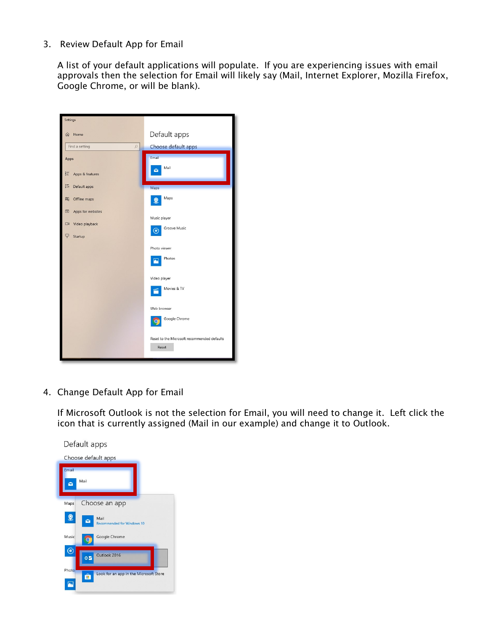## 3. Review Default App for Email

A list of your default applications will populate. If you are experiencing issues with email approvals then the selection for Email will likely say (Mail, Internet Explorer, Mozilla Firefox, Google Chrome, or will be blank).



4. Change Default App for Email

If Microsoft Outlook is not the selection for Email, you will need to change it. Left click the icon that is currently assigned (Mail in our example) and change it to Outlook.

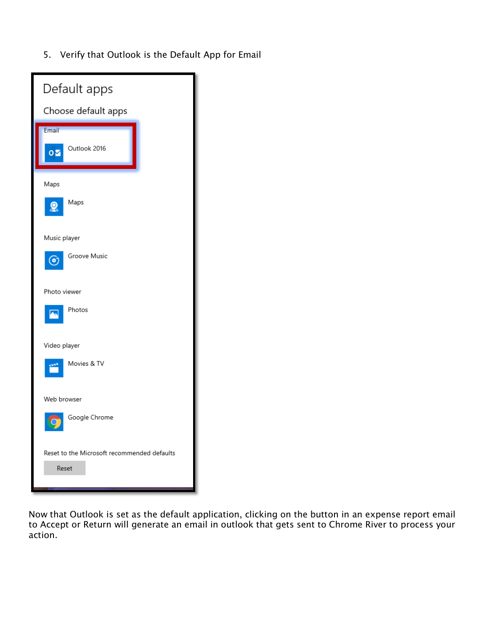5. Verify that Outlook is the Default App for Email

| Default apps                                             |
|----------------------------------------------------------|
| Choose default apps                                      |
| Email<br>Outlook 2016<br>oΣ                              |
| Maps<br>Maps                                             |
| Music player<br>Groove Music<br>$\left( \bullet \right)$ |
| Photo viewer<br>Photos                                   |
| Video player<br>Movies & TV                              |
| Web browser<br>Google Chrome                             |
| Reset to the Microsoft recommended defaults<br>Reset     |

Now that Outlook is set as the default application, clicking on the button in an expense report email to Accept or Return will generate an email in outlook that gets sent to Chrome River to process your action.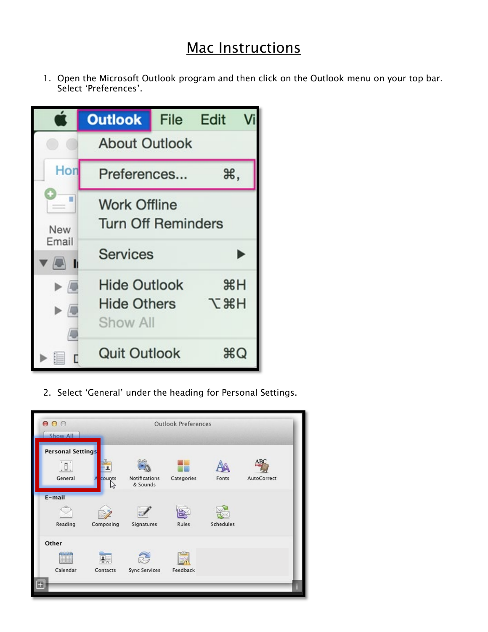## Mac Instructions

1. Open the Microsoft Outlook program and then click on the Outlook menu on your top bar. Select 'Preferences'.

|                                                                            | <b>Outlook</b>                                        |  | File Edit        |  |  |  |  |  |  |
|----------------------------------------------------------------------------|-------------------------------------------------------|--|------------------|--|--|--|--|--|--|
|                                                                            | <b>About Outlook</b>                                  |  |                  |  |  |  |  |  |  |
| Hon                                                                        | Preferences                                           |  | Ж,               |  |  |  |  |  |  |
| a a<br>New                                                                 | <b>Work Offline</b><br><b>Turn Off Reminders</b>      |  |                  |  |  |  |  |  |  |
| Email<br>$\sqrt{2}$ 1                                                      | <b>Services</b>                                       |  |                  |  |  |  |  |  |  |
| $\blacktriangleright$ ( $\Box$<br>$\blacktriangleright \sqrt{\phantom{.}}$ | <b>Hide Outlook</b><br><b>Hide Others</b><br>Show All |  | H<br><b>H</b> &J |  |  |  |  |  |  |
|                                                                            | <b>Quit Outlook</b>                                   |  | ЖQ               |  |  |  |  |  |  |

2. Select 'General' under the heading for Personal Settings.

| 000<br><b>Show All</b>                     |                           | <b>Outlook Preferences</b>       |            |           |                    |  |  |
|--------------------------------------------|---------------------------|----------------------------------|------------|-----------|--------------------|--|--|
| <b>Personal Settings</b><br>. D<br>General | counts<br>hr              | <b>Notifications</b><br>& Sounds | Categories | Fonts     | ABC<br>AutoCorrect |  |  |
| E-mail<br>Reading                          | Composing                 | Signatures                       | Rules      | Schedules |                    |  |  |
| Other<br>$d = 0 - 0 = 0$<br>Calendar       | $\frac{2}{1}$<br>Contacts | <b>Sync Services</b>             | Feedback   |           |                    |  |  |